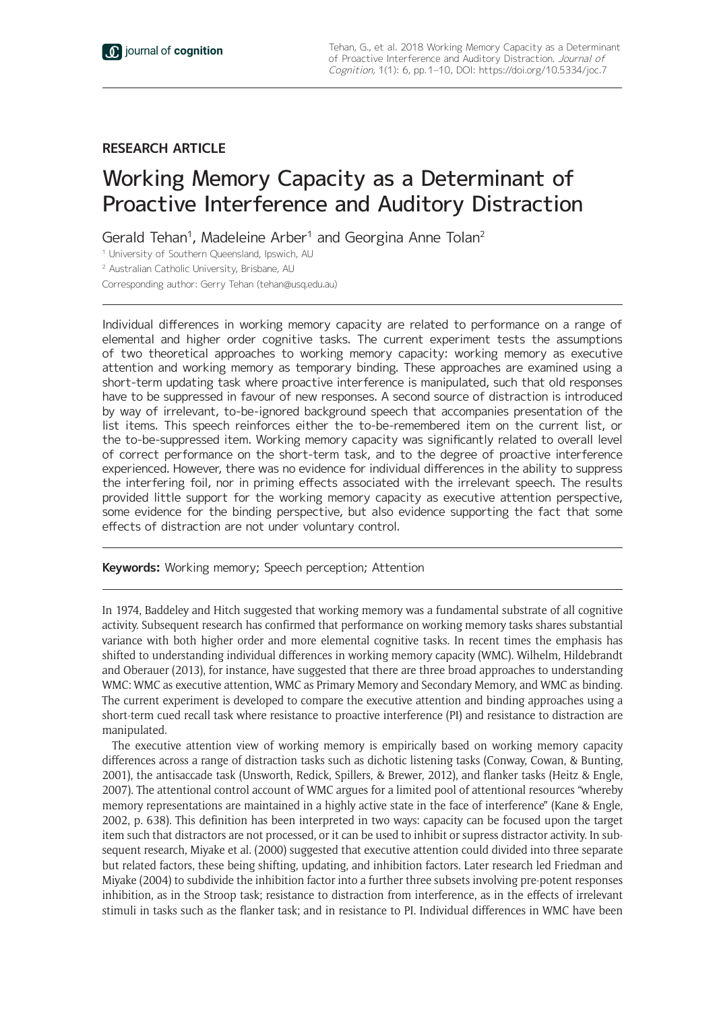## **RESEARCH ARTICLE**

# Working Memory Capacity as a Determinant of Proactive Interference and Auditory Distraction

Gerald Tehan<sup>1</sup>, Madeleine Arber<sup>1</sup> and Georgina Anne Tolan<sup>2</sup>

<sup>1</sup> University of Southern Queensland, Ipswich, AU

<sup>2</sup> Australian Catholic University, Brisbane, AU

Corresponding author: Gerry Tehan [\(tehan@usq.edu.au](mailto:tehan@usq.edu.au))

Individual differences in working memory capacity are related to performance on a range of elemental and higher order cognitive tasks. The current experiment tests the assumptions of two theoretical approaches to working memory capacity: working memory as executive attention and working memory as temporary binding. These approaches are examined using a short-term updating task where proactive interference is manipulated, such that old responses have to be suppressed in favour of new responses. A second source of distraction is introduced by way of irrelevant, to-be-ignored background speech that accompanies presentation of the list items. This speech reinforces either the to-be-remembered item on the current list, or the to-be-suppressed item. Working memory capacity was significantly related to overall level of correct performance on the short-term task, and to the degree of proactive interference experienced. However, there was no evidence for individual differences in the ability to suppress the interfering foil, nor in priming effects associated with the irrelevant speech. The results provided little support for the working memory capacity as executive attention perspective, some evidence for the binding perspective, but also evidence supporting the fact that some effects of distraction are not under voluntary control.

**Keywords:** Working memory; Speech perception; Attention

In 1974, Baddeley and Hitch suggested that working memory was a fundamental substrate of all cognitive activity. Subsequent research has confirmed that performance on working memory tasks shares substantial variance with both higher order and more elemental cognitive tasks. In recent times the emphasis has shifted to understanding individual differences in working memory capacity (WMC). Wilhelm, Hildebrandt and Oberauer (2013), for instance, have suggested that there are three broad approaches to understanding WMC: WMC as executive attention, WMC as Primary Memory and Secondary Memory, and WMC as binding. The current experiment is developed to compare the executive attention and binding approaches using a short-term cued recall task where resistance to proactive interference (PI) and resistance to distraction are manipulated.

The executive attention view of working memory is empirically based on working memory capacity differences across a range of distraction tasks such as dichotic listening tasks (Conway, Cowan, & Bunting, 2001), the antisaccade task (Unsworth, Redick, Spillers, & Brewer, 2012), and flanker tasks (Heitz & Engle, 2007). The attentional control account of WMC argues for a limited pool of attentional resources "whereby memory representations are maintained in a highly active state in the face of interference" (Kane & Engle, 2002, p. 638). This definition has been interpreted in two ways: capacity can be focused upon the target item such that distractors are not processed, or it can be used to inhibit or supress distractor activity. In subsequent research, Miyake et al. (2000) suggested that executive attention could divided into three separate but related factors, these being shifting, updating, and inhibition factors. Later research led Friedman and Miyake (2004) to subdivide the inhibition factor into a further three subsets involving pre-potent responses inhibition, as in the Stroop task; resistance to distraction from interference, as in the effects of irrelevant stimuli in tasks such as the flanker task; and in resistance to PI. Individual differences in WMC have been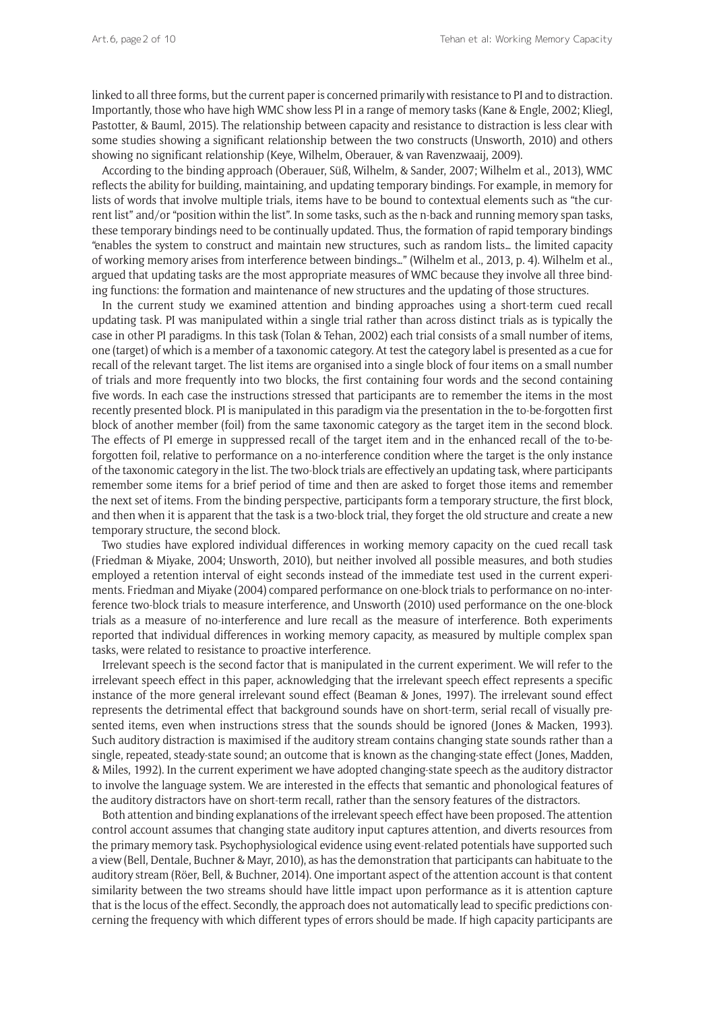linked to all three forms, but the current paper is concerned primarily with resistance to PI and to distraction. Importantly, those who have high WMC show less PI in a range of memory tasks (Kane & Engle, 2002; Kliegl, Pastotter, & Bauml, 2015). The relationship between capacity and resistance to distraction is less clear with some studies showing a significant relationship between the two constructs (Unsworth, 2010) and others showing no significant relationship (Keye, Wilhelm, Oberauer, & van Ravenzwaaij, 2009).

According to the binding approach (Oberauer, Süß, Wilhelm, & Sander, 2007; Wilhelm et al., 2013), WMC reflects the ability for building, maintaining, and updating temporary bindings. For example, in memory for lists of words that involve multiple trials, items have to be bound to contextual elements such as "the current list" and/or "position within the list". In some tasks, such as the n-back and running memory span tasks, these temporary bindings need to be continually updated. Thus, the formation of rapid temporary bindings "enables the system to construct and maintain new structures, such as random lists… the limited capacity of working memory arises from interference between bindings…" (Wilhelm et al., 2013, p. 4). Wilhelm et al., argued that updating tasks are the most appropriate measures of WMC because they involve all three binding functions: the formation and maintenance of new structures and the updating of those structures.

In the current study we examined attention and binding approaches using a short-term cued recall updating task. PI was manipulated within a single trial rather than across distinct trials as is typically the case in other PI paradigms. In this task (Tolan & Tehan, 2002) each trial consists of a small number of items, one (target) of which is a member of a taxonomic category. At test the category label is presented as a cue for recall of the relevant target. The list items are organised into a single block of four items on a small number of trials and more frequently into two blocks, the first containing four words and the second containing five words. In each case the instructions stressed that participants are to remember the items in the most recently presented block. PI is manipulated in this paradigm via the presentation in the to-be-forgotten first block of another member (foil) from the same taxonomic category as the target item in the second block. The effects of PI emerge in suppressed recall of the target item and in the enhanced recall of the to-beforgotten foil, relative to performance on a no-interference condition where the target is the only instance of the taxonomic category in the list. The two-block trials are effectively an updating task, where participants remember some items for a brief period of time and then are asked to forget those items and remember the next set of items. From the binding perspective, participants form a temporary structure, the first block, and then when it is apparent that the task is a two-block trial, they forget the old structure and create a new temporary structure, the second block.

Two studies have explored individual differences in working memory capacity on the cued recall task (Friedman & Miyake, 2004; Unsworth, 2010), but neither involved all possible measures, and both studies employed a retention interval of eight seconds instead of the immediate test used in the current experiments. Friedman and Miyake (2004) compared performance on one-block trials to performance on no-interference two-block trials to measure interference, and Unsworth (2010) used performance on the one-block trials as a measure of no-interference and lure recall as the measure of interference. Both experiments reported that individual differences in working memory capacity, as measured by multiple complex span tasks, were related to resistance to proactive interference.

Irrelevant speech is the second factor that is manipulated in the current experiment. We will refer to the irrelevant speech effect in this paper, acknowledging that the irrelevant speech effect represents a specific instance of the more general irrelevant sound effect (Beaman & Jones, 1997). The irrelevant sound effect represents the detrimental effect that background sounds have on short-term, serial recall of visually presented items, even when instructions stress that the sounds should be ignored (Jones & Macken, 1993). Such auditory distraction is maximised if the auditory stream contains changing state sounds rather than a single, repeated, steady-state sound; an outcome that is known as the changing-state effect (Jones, Madden, & Miles, 1992). In the current experiment we have adopted changing-state speech as the auditory distractor to involve the language system. We are interested in the effects that semantic and phonological features of the auditory distractors have on short-term recall, rather than the sensory features of the distractors.

Both attention and binding explanations of the irrelevant speech effect have been proposed. The attention control account assumes that changing state auditory input captures attention, and diverts resources from the primary memory task. Psychophysiological evidence using event-related potentials have supported such a view (Bell, Dentale, Buchner & Mayr, 2010), as has the demonstration that participants can habituate to the auditory stream (Röer, Bell, & Buchner, 2014). One important aspect of the attention account is that content similarity between the two streams should have little impact upon performance as it is attention capture that is the locus of the effect. Secondly, the approach does not automatically lead to specific predictions concerning the frequency with which different types of errors should be made. If high capacity participants are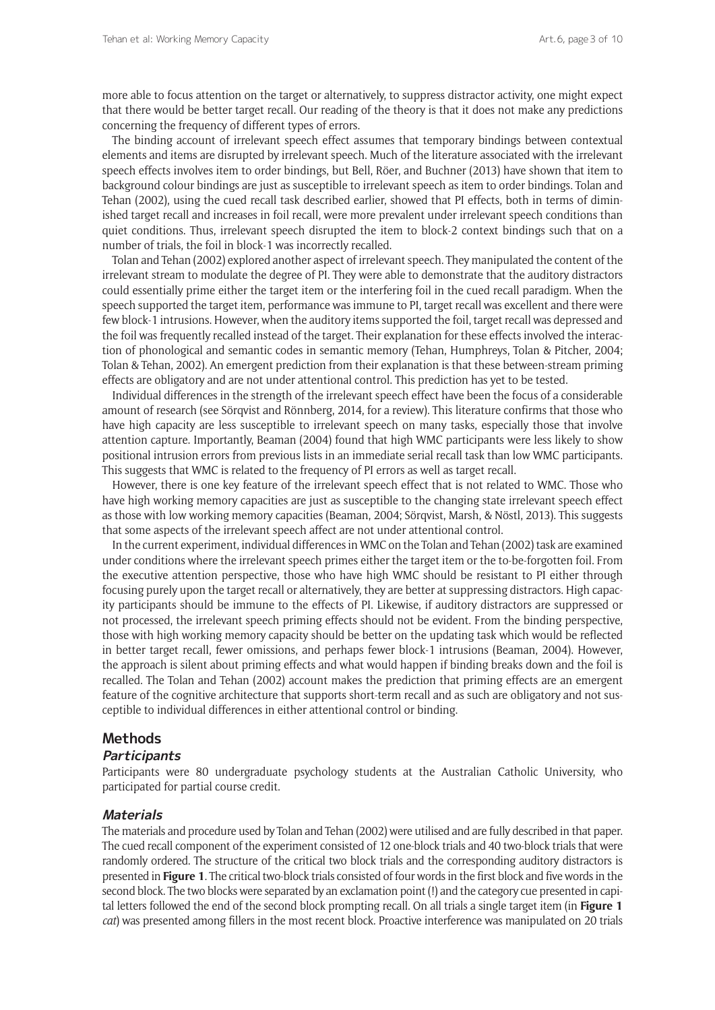more able to focus attention on the target or alternatively, to suppress distractor activity, one might expect that there would be better target recall. Our reading of the theory is that it does not make any predictions concerning the frequency of different types of errors.

The binding account of irrelevant speech effect assumes that temporary bindings between contextual elements and items are disrupted by irrelevant speech. Much of the literature associated with the irrelevant speech effects involves item to order bindings, but Bell, Röer, and Buchner (2013) have shown that item to background colour bindings are just as susceptible to irrelevant speech as item to order bindings. Tolan and Tehan (2002), using the cued recall task described earlier, showed that PI effects, both in terms of diminished target recall and increases in foil recall, were more prevalent under irrelevant speech conditions than quiet conditions. Thus, irrelevant speech disrupted the item to block-2 context bindings such that on a number of trials, the foil in block-1 was incorrectly recalled.

Tolan and Tehan (2002) explored another aspect of irrelevant speech. They manipulated the content of the irrelevant stream to modulate the degree of PI. They were able to demonstrate that the auditory distractors could essentially prime either the target item or the interfering foil in the cued recall paradigm. When the speech supported the target item, performance was immune to PI, target recall was excellent and there were few block-1 intrusions. However, when the auditory items supported the foil, target recall was depressed and the foil was frequently recalled instead of the target. Their explanation for these effects involved the interaction of phonological and semantic codes in semantic memory (Tehan, Humphreys, Tolan & Pitcher, 2004; Tolan & Tehan, 2002). An emergent prediction from their explanation is that these between-stream priming effects are obligatory and are not under attentional control. This prediction has yet to be tested.

Individual differences in the strength of the irrelevant speech effect have been the focus of a considerable amount of research (see Sörqvist and Rönnberg, 2014, for a review). This literature confirms that those who have high capacity are less susceptible to irrelevant speech on many tasks, especially those that involve attention capture. Importantly, Beaman (2004) found that high WMC participants were less likely to show positional intrusion errors from previous lists in an immediate serial recall task than low WMC participants. This suggests that WMC is related to the frequency of PI errors as well as target recall.

However, there is one key feature of the irrelevant speech effect that is not related to WMC. Those who have high working memory capacities are just as susceptible to the changing state irrelevant speech effect as those with low working memory capacities (Beaman, 2004; Sörqvist, Marsh, & Nöstl, 2013). This suggests that some aspects of the irrelevant speech affect are not under attentional control.

In the current experiment, individual differences in WMC on the Tolan and Tehan (2002) task are examined under conditions where the irrelevant speech primes either the target item or the to-be-forgotten foil. From the executive attention perspective, those who have high WMC should be resistant to PI either through focusing purely upon the target recall or alternatively, they are better at suppressing distractors. High capacity participants should be immune to the effects of PI. Likewise, if auditory distractors are suppressed or not processed, the irrelevant speech priming effects should not be evident. From the binding perspective, those with high working memory capacity should be better on the updating task which would be reflected in better target recall, fewer omissions, and perhaps fewer block-1 intrusions (Beaman, 2004). However, the approach is silent about priming effects and what would happen if binding breaks down and the foil is recalled. The Tolan and Tehan (2002) account makes the prediction that priming effects are an emergent feature of the cognitive architecture that supports short-term recall and as such are obligatory and not susceptible to individual differences in either attentional control or binding.

#### **Methods**

#### **Participants**

Participants were 80 undergraduate psychology students at the Australian Catholic University, who participated for partial course credit.

#### **Materials**

The materials and procedure used by Tolan and Tehan (2002) were utilised and are fully described in that paper. The cued recall component of the experiment consisted of 12 one-block trials and 40 two-block trials that were randomly ordered. The structure of the critical two block trials and the corresponding auditory distractors is presented in **Figure 1**. The critical two-block trials consisted of four words in the first block and five words in the second block. The two blocks were separated by an exclamation point (!) and the category cue presented in capital letters followed the end of the second block prompting recall. On all trials a single target item (in **Figure 1** *cat*) was presented among fillers in the most recent block. Proactive interference was manipulated on 20 trials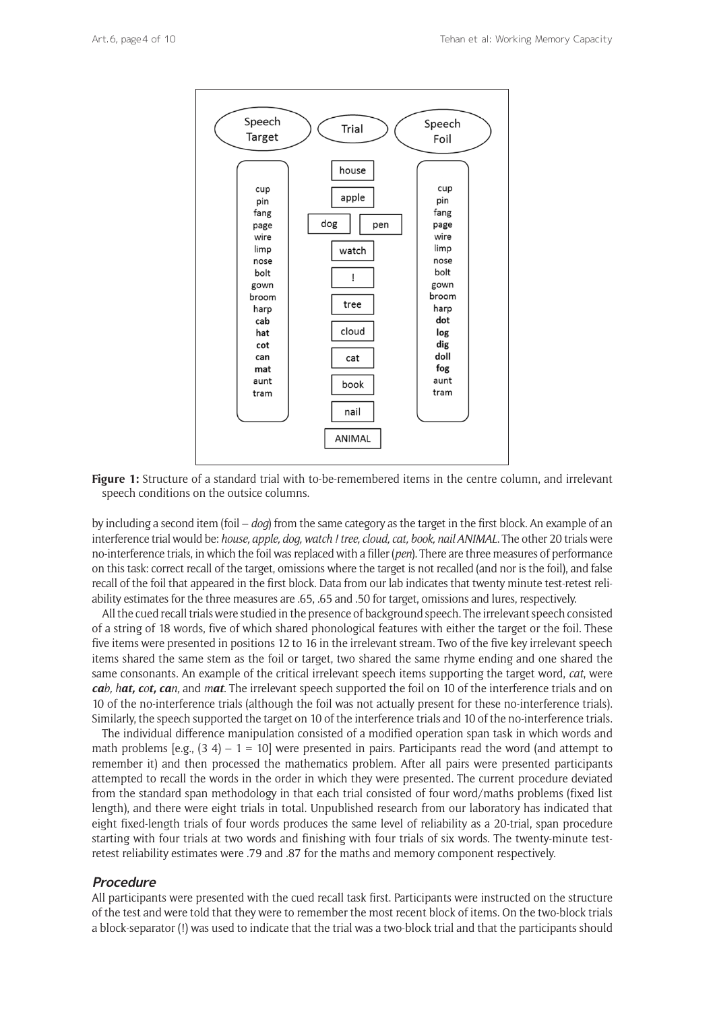

Figure 1: Structure of a standard trial with to-be-remembered items in the centre column, and irrelevant speech conditions on the outsice columns.

by including a second item (foil – *dog*) from the same category as the target in the first block. An example of an interference trial would be: *house, apple, dog, watch ! tree, cloud, cat, book, nail ANIMAL*. The other 20 trials were no-interference trials, in which the foil was replaced with a filler (*pen*). There are three measures of performance on this task: correct recall of the target, omissions where the target is not recalled (and nor is the foil), and false recall of the foil that appeared in the first block. Data from our lab indicates that twenty minute test-retest reliability estimates for the three measures are .65, .65 and .50 for target, omissions and lures, respectively.

All the cued recall trials were studied in the presence of background speech. The irrelevant speech consisted of a string of 18 words, five of which shared phonological features with either the target or the foil. These five items were presented in positions 12 to 16 in the irrelevant stream. Two of the five key irrelevant speech items shared the same stem as the foil or target, two shared the same rhyme ending and one shared the same consonants. An example of the critical irrelevant speech items supporting the target word, *cat*, were *cab, hat, cot, can,* and *mat*. The irrelevant speech supported the foil on 10 of the interference trials and on 10 of the no-interference trials (although the foil was not actually present for these no-interference trials). Similarly, the speech supported the target on 10 of the interference trials and 10 of the no-interference trials.

The individual difference manipulation consisted of a modified operation span task in which words and math problems [e.g.,  $(3 4) - 1 = 10$ ] were presented in pairs. Participants read the word (and attempt to remember it) and then processed the mathematics problem. After all pairs were presented participants attempted to recall the words in the order in which they were presented. The current procedure deviated from the standard span methodology in that each trial consisted of four word/maths problems (fixed list length), and there were eight trials in total. Unpublished research from our laboratory has indicated that eight fixed-length trials of four words produces the same level of reliability as a 20-trial, span procedure starting with four trials at two words and finishing with four trials of six words. The twenty-minute testretest reliability estimates were .79 and .87 for the maths and memory component respectively.

## **Procedure**

All participants were presented with the cued recall task first. Participants were instructed on the structure of the test and were told that they were to remember the most recent block of items. On the two-block trials a block-separator (!) was used to indicate that the trial was a two-block trial and that the participants should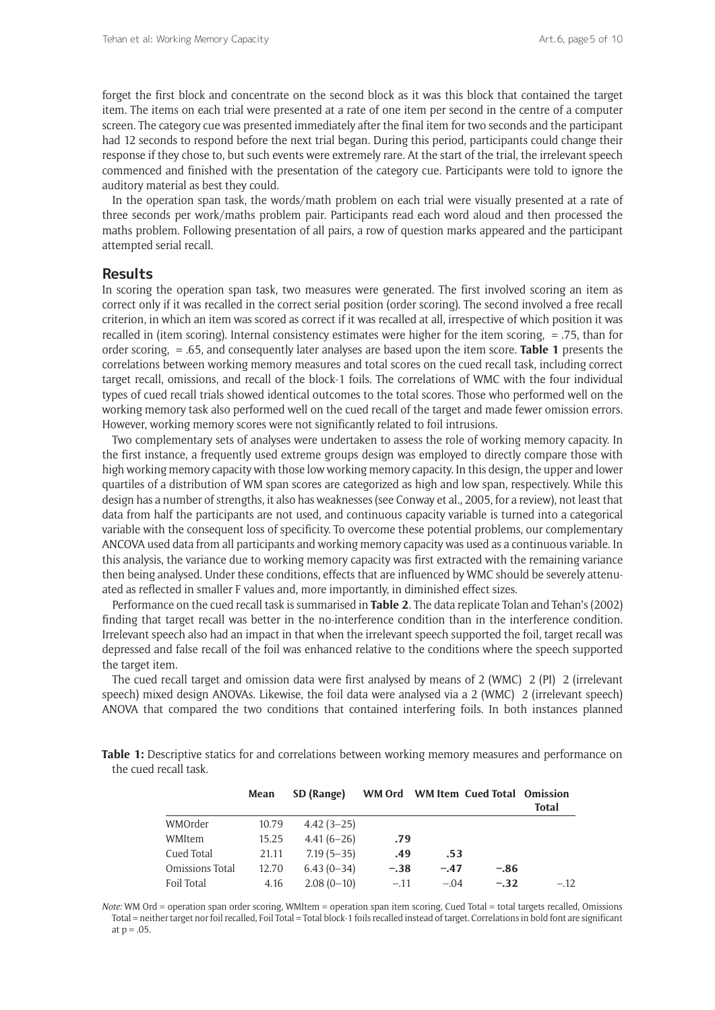forget the first block and concentrate on the second block as it was this block that contained the target item. The items on each trial were presented at a rate of one item per second in the centre of a computer screen. The category cue was presented immediately after the final item for two seconds and the participant had 12 seconds to respond before the next trial began. During this period, participants could change their response if they chose to, but such events were extremely rare. At the start of the trial, the irrelevant speech commenced and finished with the presentation of the category cue. Participants were told to ignore the auditory material as best they could.

In the operation span task, the words/math problem on each trial were visually presented at a rate of three seconds per work/maths problem pair. Participants read each word aloud and then processed the maths problem. Following presentation of all pairs, a row of question marks appeared and the participant attempted serial recall.

#### **Results**

In scoring the operation span task, two measures were generated. The first involved scoring an item as correct only if it was recalled in the correct serial position (order scoring). The second involved a free recall criterion, in which an item was scored as correct if it was recalled at all, irrespective of which position it was recalled in (item scoring). Internal consistency estimates were higher for the item scoring, = .75, than for order scoring, = .65, and consequently later analyses are based upon the item score. **Table 1** presents the correlations between working memory measures and total scores on the cued recall task, including correct target recall, omissions, and recall of the block-1 foils. The correlations of WMC with the four individual types of cued recall trials showed identical outcomes to the total scores. Those who performed well on the working memory task also performed well on the cued recall of the target and made fewer omission errors. However, working memory scores were not significantly related to foil intrusions.

Two complementary sets of analyses were undertaken to assess the role of working memory capacity. In the first instance, a frequently used extreme groups design was employed to directly compare those with high working memory capacity with those low working memory capacity. In this design, the upper and lower quartiles of a distribution of WM span scores are categorized as high and low span, respectively. While this design has a number of strengths, it also has weaknesses (see Conway et al., 2005, for a review), not least that data from half the participants are not used, and continuous capacity variable is turned into a categorical variable with the consequent loss of specificity. To overcome these potential problems, our complementary ANCOVA used data from all participants and working memory capacity was used as a continuous variable. In this analysis, the variance due to working memory capacity was first extracted with the remaining variance then being analysed. Under these conditions, effects that are influenced by WMC should be severely attenuated as reflected in smaller F values and, more importantly, in diminished effect sizes.

Performance on the cued recall task is summarised in **Table 2**. The data replicate Tolan and Tehan's (2002) finding that target recall was better in the no-interference condition than in the interference condition. Irrelevant speech also had an impact in that when the irrelevant speech supported the foil, target recall was depressed and false recall of the foil was enhanced relative to the conditions where the speech supported the target item.

The cued recall target and omission data were first analysed by means of 2 (WMC) 2 (PI) 2 (irrelevant speech) mixed design ANOVAs. Likewise, the foil data were analysed via a 2 (WMC) 2 (irrelevant speech) ANOVA that compared the two conditions that contained interfering foils. In both instances planned

**Table 1:** Descriptive statics for and correlations between working memory measures and performance on the cued recall task.

|                 | Mean  | SD (Range)   |        |        | WM Ord WM Item Cued Total Omission | <b>Total</b> |
|-----------------|-------|--------------|--------|--------|------------------------------------|--------------|
| WMOrder         | 10.79 | $4.42(3-25)$ |        |        |                                    |              |
| WMItem          | 15.25 | $4.41(6-26)$ | .79    |        |                                    |              |
| Cued Total      | 21.11 | $7.19(5-35)$ | .49    | .53    |                                    |              |
| Omissions Total | 12.70 | $6.43(0-34)$ | $-.38$ | $-.47$ | $-.86$                             |              |
| Foil Total      | 4.16  | $2.08(0-10)$ | $-.11$ | $-.04$ | $-.32$                             | $-.12$       |

*Note:* WM Ord = operation span order scoring, WMItem = operation span item scoring, Cued Total = total targets recalled, Omissions Total = neither target nor foil recalled, Foil Total = Total block-1 foils recalled instead of target. Correlations in bold font are significant at  $p = .05$ .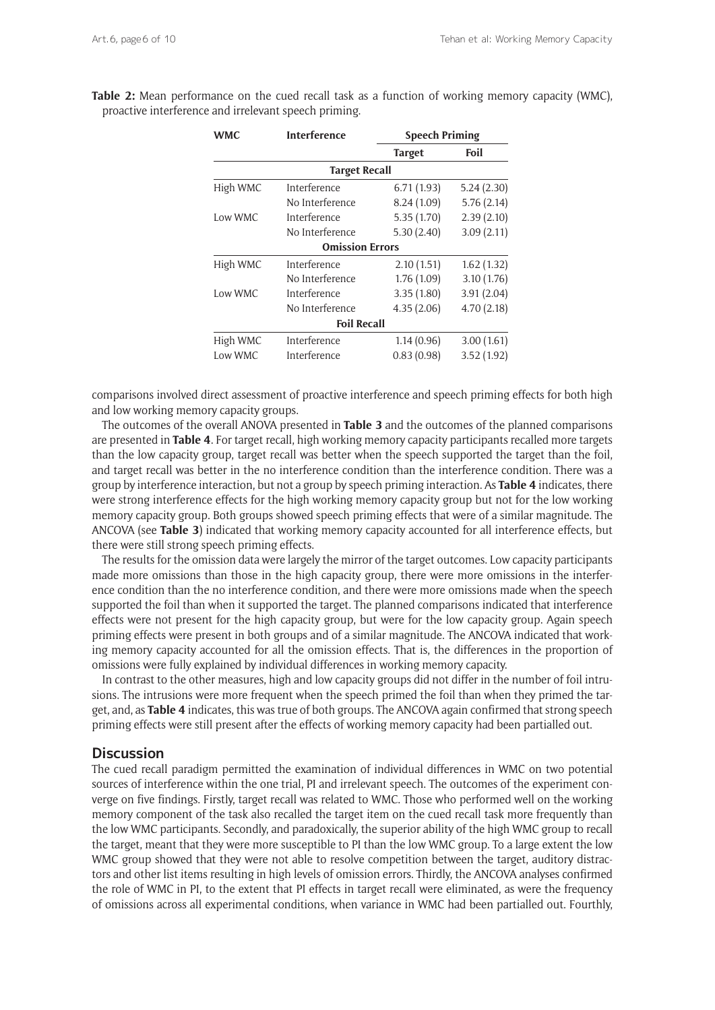| <b>WMC</b> | Interference           |               | <b>Speech Priming</b> |  |  |
|------------|------------------------|---------------|-----------------------|--|--|
|            |                        | <b>Target</b> | Foil                  |  |  |
|            | <b>Target Recall</b>   |               |                       |  |  |
| High WMC   | Interference           | 6.71(1.93)    | 5.24(2.30)            |  |  |
|            | No Interference        | 8.24 (1.09)   | 5.76(2.14)            |  |  |
| Low WMC    | Interference           | 5.35(1.70)    | 2.39(2.10)            |  |  |
|            | No Interference        | 5.30(2.40)    | 3.09(2.11)            |  |  |
|            | <b>Omission Errors</b> |               |                       |  |  |
| High WMC   | Interference           | 2.10(1.51)    | 1.62(1.32)            |  |  |
|            | No Interference        | 1.76(1.09)    | 3.10(1.76)            |  |  |
| Low WMC    | Interference           | 3.35(1.80)    | 3.91(2.04)            |  |  |
|            | No Interference        | 4.35(2.06)    | 4.70(2.18)            |  |  |
|            | <b>Foil Recall</b>     |               |                       |  |  |
| High WMC   | Interference           | 1.14(0.96)    | 3.00(1.61)            |  |  |
| Low WMC    | Interference           | 0.83(0.98)    | 3.52(1.92)            |  |  |
|            |                        |               |                       |  |  |

**Table 2:** Mean performance on the cued recall task as a function of working memory capacity (WMC), proactive interference and irrelevant speech priming.

comparisons involved direct assessment of proactive interference and speech priming effects for both high and low working memory capacity groups.

The outcomes of the overall ANOVA presented in **Table 3** and the outcomes of the planned comparisons are presented in **Table 4**. For target recall, high working memory capacity participants recalled more targets than the low capacity group, target recall was better when the speech supported the target than the foil, and target recall was better in the no interference condition than the interference condition. There was a group by interference interaction, but not a group by speech priming interaction. As **Table 4** indicates, there were strong interference effects for the high working memory capacity group but not for the low working memory capacity group. Both groups showed speech priming effects that were of a similar magnitude. The ANCOVA (see **Table 3**) indicated that working memory capacity accounted for all interference effects, but there were still strong speech priming effects.

The results for the omission data were largely the mirror of the target outcomes. Low capacity participants made more omissions than those in the high capacity group, there were more omissions in the interference condition than the no interference condition, and there were more omissions made when the speech supported the foil than when it supported the target. The planned comparisons indicated that interference effects were not present for the high capacity group, but were for the low capacity group. Again speech priming effects were present in both groups and of a similar magnitude. The ANCOVA indicated that working memory capacity accounted for all the omission effects. That is, the differences in the proportion of omissions were fully explained by individual differences in working memory capacity.

In contrast to the other measures, high and low capacity groups did not differ in the number of foil intrusions. The intrusions were more frequent when the speech primed the foil than when they primed the target, and, as **Table 4** indicates, this was true of both groups. The ANCOVA again confirmed that strong speech priming effects were still present after the effects of working memory capacity had been partialled out.

#### **Discussion**

The cued recall paradigm permitted the examination of individual differences in WMC on two potential sources of interference within the one trial, PI and irrelevant speech. The outcomes of the experiment converge on five findings. Firstly, target recall was related to WMC. Those who performed well on the working memory component of the task also recalled the target item on the cued recall task more frequently than the low WMC participants. Secondly, and paradoxically, the superior ability of the high WMC group to recall the target, meant that they were more susceptible to PI than the low WMC group. To a large extent the low WMC group showed that they were not able to resolve competition between the target, auditory distractors and other list items resulting in high levels of omission errors. Thirdly, the ANCOVA analyses confirmed the role of WMC in PI, to the extent that PI effects in target recall were eliminated, as were the frequency of omissions across all experimental conditions, when variance in WMC had been partialled out. Fourthly,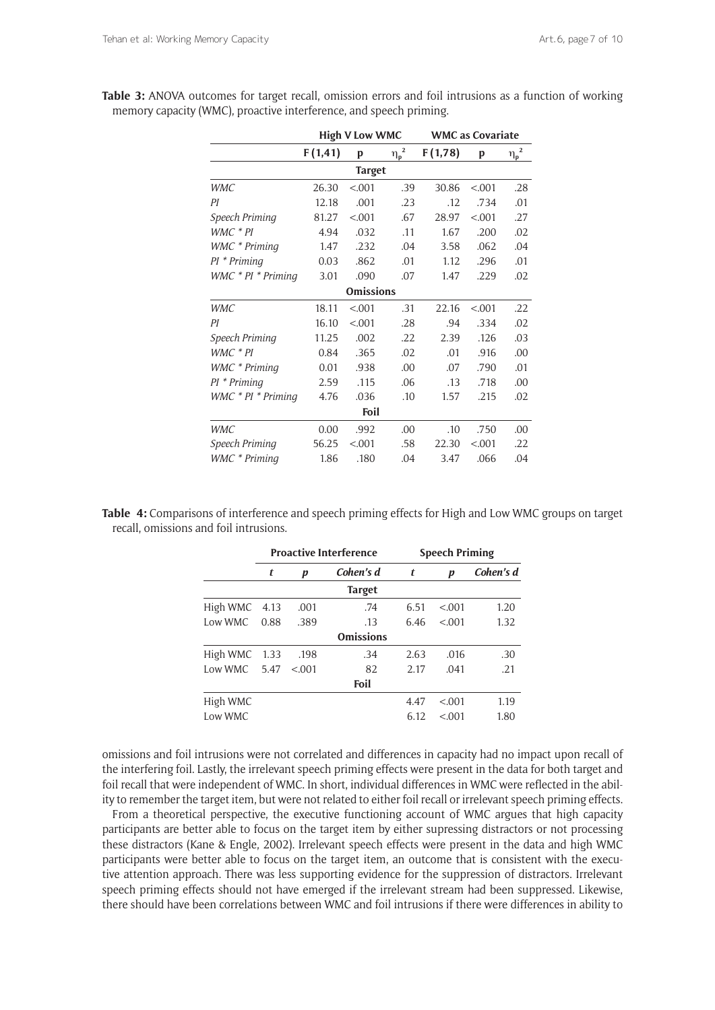|                    | <b>High V Low WMC</b> |               |                        | <b>WMC</b> as Covariate |         |                        |  |
|--------------------|-----------------------|---------------|------------------------|-------------------------|---------|------------------------|--|
|                    | F(1, 41)              | p             | $\underline{\eta_p}^2$ | F(1,78)                 | p       | $\underline{\eta_p}^2$ |  |
|                    |                       | <b>Target</b> |                        |                         |         |                        |  |
| <b>WMC</b>         | 26.30                 | < .001        | .39                    | 30.86                   | < 0.001 | .28                    |  |
| ΡI                 | 12.18                 | .001          | .23                    | .12                     | .734    | .01                    |  |
| Speech Priming     | 81.27                 | < .001        | .67                    | 28.97                   | < .001  | .27                    |  |
| $WMC * PI$         | 4.94                  | .032          | .11                    | 1.67                    | .200    | .02                    |  |
| WMC * Priming      | 1.47                  | .232          | .04                    | 3.58                    | .062    | .04                    |  |
| PI * Priming       | 0.03                  | .862          | .01                    | 1.12                    | .296    | .01                    |  |
| WMC * PI * Priming | 3.01                  | .090          | .07                    | 1.47                    | .229    | .02                    |  |
| <b>Omissions</b>   |                       |               |                        |                         |         |                        |  |
| <b>WMC</b>         | 18.11                 | < .001        | .31                    | 22.16                   | < .001  | .22                    |  |
| ΡI                 | 16.10                 | < .001        | .28                    | .94                     | .334    | .02                    |  |
| Speech Priming     | 11.25                 | .002          | .22                    | 2.39                    | .126    | .03                    |  |
| WMC * PI           | 0.84                  | .365          | .02                    | .01                     | .916    | .00                    |  |
| WMC * Priming      | 0.01                  | .938          | .00                    | .07                     | .790    | .01                    |  |
| $PI * Priming$     | 2.59                  | .115          | .06                    | .13                     | .718    | .00                    |  |
| WMC * PI * Priming | 4.76                  | .036          | .10                    | 1.57                    | .215    | .02                    |  |
| Foil               |                       |               |                        |                         |         |                        |  |
| <b>WMC</b>         | 0.00                  | .992          | .00.                   | .10                     | .750    | .00                    |  |
| Speech Priming     | 56.25                 | < .001        | .58                    | 22.30                   | < .001  | .22                    |  |
| WMC * Priming      | 1.86                  | .180          | .04                    | 3.47                    | .066    | .04                    |  |

**Table 3:** ANOVA outcomes for target recall, omission errors and foil intrusions as a function of working memory capacity (WMC), proactive interference, and speech priming.

**Table 4:** Comparisons of interference and speech priming effects for High and Low WMC groups on target recall, omissions and foil intrusions.

|               | <b>Proactive Interference</b> |         |                  | <b>Speech Priming</b> |         |           |
|---------------|-------------------------------|---------|------------------|-----------------------|---------|-----------|
|               | t                             | p       | Cohen's d        | t                     | p       | Cohen's d |
|               |                               |         | <b>Target</b>    |                       |         |           |
| High WMC 4.13 |                               | .001    | .74              | 6.51                  | < 0.01  | 1.20      |
| Low WMC       | 0.88                          | .389    | .13              | 6.46                  | < 0.01  | 1.32      |
|               |                               |         | <b>Omissions</b> |                       |         |           |
| High WMC 1.33 |                               | .198    | .34              | 2.63                  | .016    | .30       |
| Low WMC       | 5.47                          | < 0.001 | 82               | 2.17                  | .041    | .21       |
|               |                               |         | Foil             |                       |         |           |
| High WMC      |                               |         |                  | 4.47                  | < 0.001 | 1.19      |
| Low WMC       |                               |         |                  | 6.12                  | < 0.001 | 1.80      |

omissions and foil intrusions were not correlated and differences in capacity had no impact upon recall of the interfering foil. Lastly, the irrelevant speech priming effects were present in the data for both target and foil recall that were independent of WMC. In short, individual differences in WMC were reflected in the ability to remember the target item, but were not related to either foil recall or irrelevant speech priming effects.

From a theoretical perspective, the executive functioning account of WMC argues that high capacity participants are better able to focus on the target item by either supressing distractors or not processing these distractors (Kane & Engle, 2002). Irrelevant speech effects were present in the data and high WMC participants were better able to focus on the target item, an outcome that is consistent with the executive attention approach. There was less supporting evidence for the suppression of distractors. Irrelevant speech priming effects should not have emerged if the irrelevant stream had been suppressed. Likewise, there should have been correlations between WMC and foil intrusions if there were differences in ability to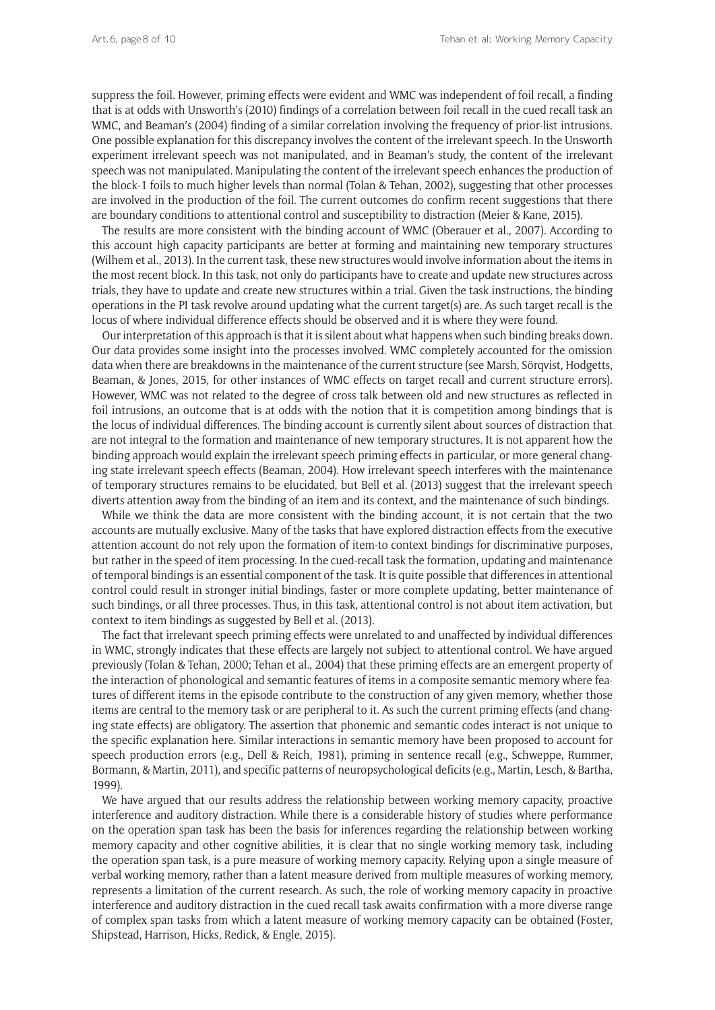suppress the foil. However, priming effects were evident and WMC was independent of foil recall, a finding that is at odds with Unsworth's (2010) findings of a correlation between foil recall in the cued recall task an WMC, and Beaman's (2004) finding of a similar correlation involving the frequency of prior-list intrusions. One possible explanation for this discrepancy involves the content of the irrelevant speech. In the Unsworth experiment irrelevant speech was not manipulated, and in Beaman's study, the content of the irrelevant speech was not manipulated. Manipulating the content of the irrelevant speech enhances the production of the block-1 foils to much higher levels than normal (Tolan & Tehan, 2002), suggesting that other processes are involved in the production of the foil. The current outcomes do confirm recent suggestions that there are boundary conditions to attentional control and susceptibility to distraction (Meier & Kane, 2015).

The results are more consistent with the binding account of WMC (Oberauer et al., 2007). According to this account high capacity participants are better at forming and maintaining new temporary structures (Wilhem et al., 2013). In the current task, these new structures would involve information about the items in the most recent block. In this task, not only do participants have to create and update new structures across trials, they have to update and create new structures within a trial. Given the task instructions, the binding operations in the PI task revolve around updating what the current target(s) are. As such target recall is the locus of where individual difference effects should be observed and it is where they were found.

Our interpretation of this approach is that it is silent about what happens when such binding breaks down. Our data provides some insight into the processes involved. WMC completely accounted for the omission data when there are breakdowns in the maintenance of the current structure (see Marsh, Sörqvist, Hodgetts, Beaman, & Jones, 2015, for other instances of WMC effects on target recall and current structure errors). However, WMC was not related to the degree of cross talk between old and new structures as reflected in foil intrusions, an outcome that is at odds with the notion that it is competition among bindings that is the locus of individual differences. The binding account is currently silent about sources of distraction that are not integral to the formation and maintenance of new temporary structures. It is not apparent how the binding approach would explain the irrelevant speech priming effects in particular, or more general changing state irrelevant speech effects (Beaman, 2004). How irrelevant speech interferes with the maintenance of temporary structures remains to be elucidated, but Bell et al. (2013) suggest that the irrelevant speech diverts attention away from the binding of an item and its context, and the maintenance of such bindings.

While we think the data are more consistent with the binding account, it is not certain that the two accounts are mutually exclusive. Many of the tasks that have explored distraction effects from the executive attention account do not rely upon the formation of item-to context bindings for discriminative purposes, but rather in the speed of item processing. In the cued-recall task the formation, updating and maintenance of temporal bindings is an essential component of the task. It is quite possible that differences in attentional control could result in stronger initial bindings, faster or more complete updating, better maintenance of such bindings, or all three processes. Thus, in this task, attentional control is not about item activation, but context to item bindings as suggested by Bell et al. (2013).

The fact that irrelevant speech priming effects were unrelated to and unaffected by individual differences in WMC, strongly indicates that these effects are largely not subject to attentional control. We have argued previously (Tolan & Tehan, 2000; Tehan et al., 2004) that these priming effects are an emergent property of the interaction of phonological and semantic features of items in a composite semantic memory where features of different items in the episode contribute to the construction of any given memory, whether those items are central to the memory task or are peripheral to it. As such the current priming effects (and changing state effects) are obligatory. The assertion that phonemic and semantic codes interact is not unique to the specific explanation here. Similar interactions in semantic memory have been proposed to account for speech production errors (e.g., Dell & Reich, 1981), priming in sentence recall (e.g., Schweppe, Rummer, Bormann, & Martin, 2011), and specific patterns of neuropsychological deficits (e.g., Martin, Lesch, & Bartha, 1999).

We have argued that our results address the relationship between working memory capacity, proactive interference and auditory distraction. While there is a considerable history of studies where performance on the operation span task has been the basis for inferences regarding the relationship between working memory capacity and other cognitive abilities, it is clear that no single working memory task, including the operation span task, is a pure measure of working memory capacity. Relying upon a single measure of verbal working memory, rather than a latent measure derived from multiple measures of working memory, represents a limitation of the current research. As such, the role of working memory capacity in proactive interference and auditory distraction in the cued recall task awaits confirmation with a more diverse range of complex span tasks from which a latent measure of working memory capacity can be obtained (Foster, Shipstead, Harrison, Hicks, Redick, & Engle, 2015).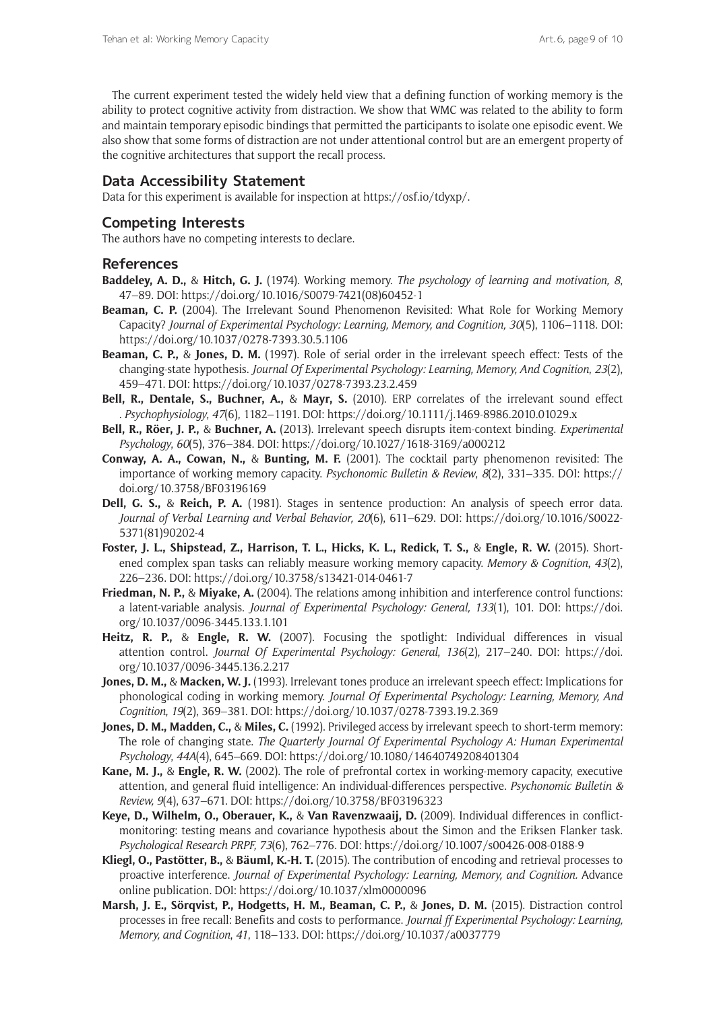The current experiment tested the widely held view that a defining function of working memory is the ability to protect cognitive activity from distraction. We show that WMC was related to the ability to form and maintain temporary episodic bindings that permitted the participants to isolate one episodic event. We also show that some forms of distraction are not under attentional control but are an emergent property of the cognitive architectures that support the recall process.

## **Data Accessibility Statement**

Data for this experiment is available for inspection at <https://osf.io/tdyxp/>.

## **Competing Interests**

The authors have no competing interests to declare.

## **References**

- **Baddeley, A. D.,** & **Hitch, G. J.** (1974). Working memory. *The psychology of learning and motivation, 8*, 47–89. DOI: [https://doi.org/10.1016/S0079-7421\(08\)60452-1](https://doi.org/10.1016/S0079-7421(08)60452-1)
- **Beaman, C. P.** (2004). The Irrelevant Sound Phenomenon Revisited: What Role for Working Memory Capacity? *Journal of Experimental Psychology: Learning, Memory, and Cognition, 30*(5), 1106–1118. DOI: <https://doi.org/10.1037/0278-7393.30.5.1106>
- **Beaman, C. P.,** & **Jones, D. M.** (1997). Role of serial order in the irrelevant speech effect: Tests of the changing-state hypothesis. *Journal Of Experimental Psychology: Learning, Memory, And Cognition*, *23*(2), 459–471. DOI: <https://doi.org/10.1037/0278-7393.23.2.459>
- **Bell, R., Dentale, S., Buchner, A.,** & **Mayr, S.** (2010). ERP correlates of the irrelevant sound effect . *Psychophysiology*, *47*(6), 1182–1191. DOI: <https://doi.org/10.1111/j.1469-8986.2010.01029.x>
- **Bell, R., Röer, J. P.,** & **Buchner, A.** (2013). Irrelevant speech disrupts item-context binding. *Experimental Psychology*, *60*(5), 376–384. DOI: <https://doi.org/10.1027/1618-3169/a000212>
- **Conway, A. A., Cowan, N.,** & **Bunting, M. F.** (2001). The cocktail party phenomenon revisited: The importance of working memory capacity. *Psychonomic Bulletin & Review*, *8*(2), 331–335. DOI: [https://](https://doi.org/10.3758/BF03196169) [doi.org/10.3758/BF03196169](https://doi.org/10.3758/BF03196169)
- **Dell, G. S.,** & **Reich, P. A.** (1981). Stages in sentence production: An analysis of speech error data. *Journal of Verbal Learning and Verbal Behavior, 20*(6), 611–629. DOI: [https://doi.org/10.1016/S0022-](https://doi.org/10.1016/S0022-5371(81)90202-4) [5371\(81\)90202-4](https://doi.org/10.1016/S0022-5371(81)90202-4)
- **Foster, J. L., Shipstead, Z., Harrison, T. L., Hicks, K. L., Redick, T. S.,** & **Engle, R. W.** (2015). Shortened complex span tasks can reliably measure working memory capacity. *Memory & Cognition*, *43*(2), 226–236. DOI: <https://doi.org/10.3758/s13421-014-0461-7>
- **Friedman, N. P.,** & **Miyake, A.** (2004). The relations among inhibition and interference control functions: a latent-variable analysis. *Journal of Experimental Psychology: General, 133*(1), 101. DOI: [https://doi.](https://doi.org/10.1037/0096-3445.133.1.101) [org/10.1037/0096-3445.133.1.101](https://doi.org/10.1037/0096-3445.133.1.101)
- **Heitz, R. P.,** & **Engle, R. W.** (2007). Focusing the spotlight: Individual differences in visual attention control. *Journal Of Experimental Psychology: General*, *136*(2), 217–240. DOI: [https://doi.](https://doi.org/10.1037/0096-3445.136.2.217) [org/10.1037/0096-3445.136.2.217](https://doi.org/10.1037/0096-3445.136.2.217)
- **Jones, D. M.,** & **Macken, W. J.** (1993). Irrelevant tones produce an irrelevant speech effect: Implications for phonological coding in working memory. *Journal Of Experimental Psychology: Learning, Memory, And Cognition*, *19*(2), 369–381. DOI:<https://doi.org/10.1037/0278-7393.19.2.369>
- **Jones, D. M., Madden, C.,** & **Miles, C.** (1992). Privileged access by irrelevant speech to short-term memory: The role of changing state. *The Quarterly Journal Of Experimental Psychology A: Human Experimental Psychology*, *44A*(4), 645–669. DOI:<https://doi.org/10.1080/14640749208401304>
- **Kane, M. J.,** & **Engle, R. W.** (2002). The role of prefrontal cortex in working-memory capacity, executive attention, and general fluid intelligence: An individual-differences perspective. *Psychonomic Bulletin & Review, 9*(4), 637–671. DOI:<https://doi.org/10.3758/BF03196323>
- **Keye, D., Wilhelm, O., Oberauer, K.,** & **Van Ravenzwaaij, D.** (2009). Individual differences in conflictmonitoring: testing means and covariance hypothesis about the Simon and the Eriksen Flanker task. *Psychological Research PRPF, 73*(6), 762–776. DOI:<https://doi.org/10.1007/s00426-008-0188-9>
- **Kliegl, O., Pastötter, B.,** & **Bäuml, K.-H. T.** (2015). The contribution of encoding and retrieval processes to proactive interference. *Journal of Experimental Psychology: Learning, Memory, and Cognition.* Advance online publication. DOI:<https://doi.org/10.1037/xlm0000096>
- **Marsh, J. E., Sörqvist, P., Hodgetts, H. M., Beaman, C. P.,** & **Jones, D. M.** (2015). Distraction control processes in free recall: Benefits and costs to performance. *Journal ff Experimental Psychology: Learning, Memory, and Cognition*, *41*, 118–133. DOI: <https://doi.org/10.1037/a0037779>